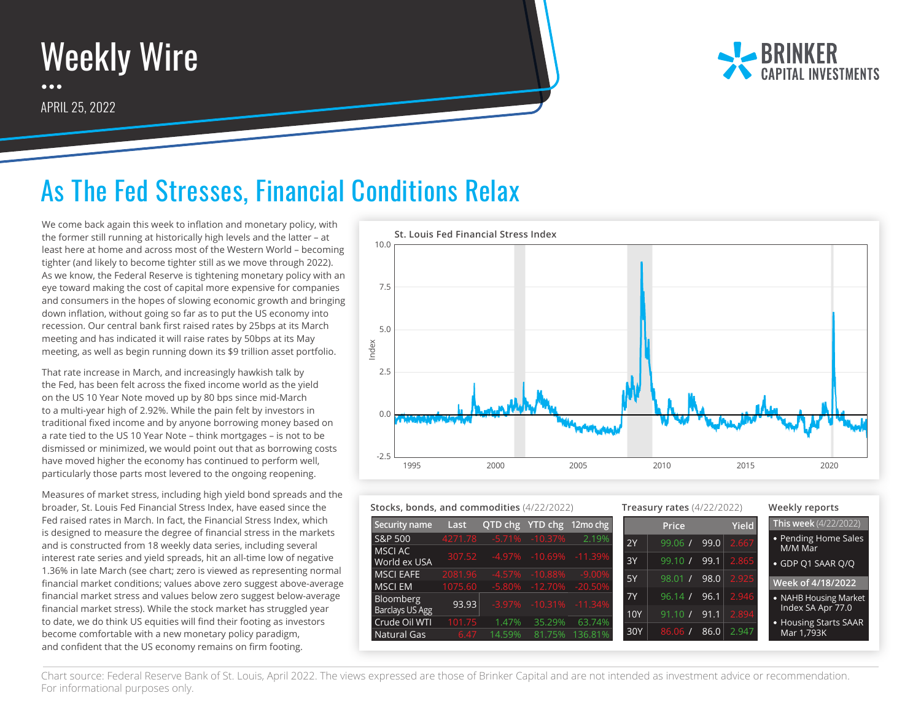

APRIL 25, 2022



## As The Fed Stresses, Financial Conditions Relax

We come back again this week to inflation and monetary policy, with the former still running at historically high levels and the latter – at least here at home and across most of the Western World – becoming tighter (and likely to become tighter still as we move through 2022). As we know, the Federal Reserve is tightening monetary policy with an eye toward making the cost of capital more expensive for companies and consumers in the hopes of slowing economic growth and bringing down inflation, without going so far as to put the US economy into recession. Our central bank first raised rates by 25bps at its March meeting and has indicated it will raise rates by 50bps at its May meeting, as well as begin running down its \$9 trillion asset portfolio.

That rate increase in March, and increasingly hawkish talk by the Fed, has been felt across the fixed income world as the yield on the US 10 Year Note moved up by 80 bps since mid-March to a multi-year high of 2.92%. While the pain felt by investors in traditional fixed income and by anyone borrowing money based on a rate tied to the US 10 Year Note – think mortgages – is not to be dismissed or minimized, we would point out that as borrowing costs have moved higher the economy has continued to perform well, particularly those parts most levered to the ongoing reopening.

Measures of market stress, including high yield bond spreads and the broader, St. Louis Fed Financial Stress Index, have eased since the Fed raised rates in March. In fact, the Financial Stress Index, which is designed to measure the degree of financial stress in the markets and is constructed from 18 weekly data series, including several interest rate series and yield spreads, hit an all-time low of negative 1.36% in late March (see chart; zero is viewed as representing normal financial market conditions; values above zero suggest above-average financial market stress and values below zero suggest below-average financial market stress). While the stock market has struggled year to date, we do think US equities will find their footing as investors become comfortable with a new monetary policy paradigm, and confident that the US economy remains on firm footing.



| Stocks, bonds, and commodities (4/22/2022) |                    |          | <b>Treasury rates (4/22/2022)</b>            |                          |            |                  | Weekly reports |       |                                     |
|--------------------------------------------|--------------------|----------|----------------------------------------------|--------------------------|------------|------------------|----------------|-------|-------------------------------------|
| Security name                              | Last               |          |                                              | QTD chg YTD chg 12mo chg |            | <b>Price</b>     |                | Yield | This week (4/22/2022)               |
| S&P 500<br>MSCI AC                         | 4271.78            | $-5.71%$ | $-10.37%$                                    | 2.19%                    | 2Y         | 99.06/           | 99.0           | 2.667 | • Pending Home Sales<br>M/M Mar     |
| World ex USA                               | 307.52             |          | -4.97% -10.69% -11.39%                       |                          | 3Y         | 99.10 /          | 99.1           | 2.865 | • GDP Q1 SAAR Q/Q                   |
| <b>MSCI EAFE</b><br><b>MSCI EM</b>         | 2081.96<br>1075.60 |          | $-4.57\% -10.88\%$<br>-5.80% -12.70% -20.50% | $-9.00\%$                | 5Y         | 98.01 /          | 98.0           | 2.925 | Week of 4/18/2022                   |
| <b>Bloomberg</b>                           | 93.93              |          | $-3.97\% -10.31\% -11.34\%$                  |                          | <b>7Y</b>  | 96.14 /          | 96.1           | 2.946 | • NAHB Housing Market               |
| Barclays US Agg<br>Crude Oil WTI           | 101.75             | 1.47%    | 35.29%                                       | 63.74%                   | <b>10Y</b> | $91.10$ $\prime$ | 91.1           | 2.894 | Index SA Apr 77.0                   |
| Natural Gas                                | 6.47               | 14.59%   | 81.75%                                       | 136.81%                  | 30Y        | 86.06            | 86.0           | 2.947 | • Housing Starts SAAR<br>Mar 1,793K |

Chart source: Federal Reserve Bank of St. Louis, April 2022. The views expressed are those of Brinker Capital and are not intended as investment advice or recommendation. For informational purposes only.